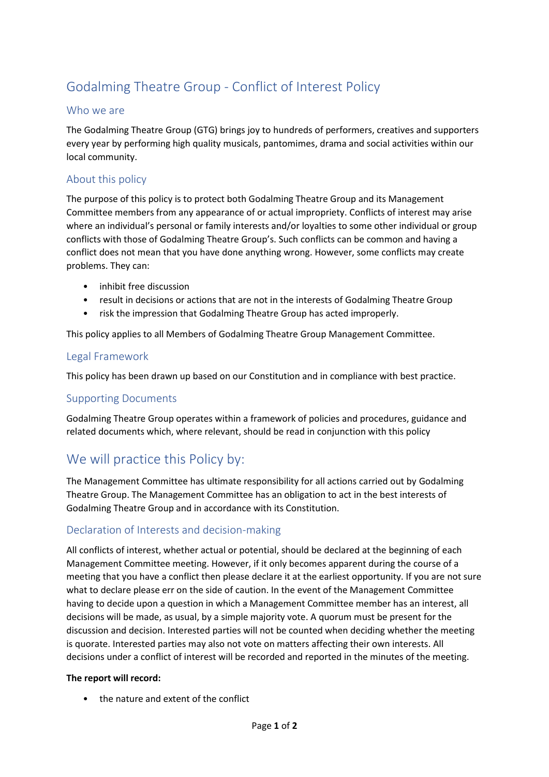# Godalming Theatre Group - Conflict of Interest Policy

### Who we are

The Godalming Theatre Group (GTG) brings joy to hundreds of performers, creatives and supporters every year by performing high quality musicals, pantomimes, drama and social activities within our local community.

### About this policy

The purpose of this policy is to protect both Godalming Theatre Group and its Management Committee members from any appearance of or actual impropriety. Conflicts of interest may arise where an individual's personal or family interests and/or loyalties to some other individual or group conflicts with those of Godalming Theatre Group's. Such conflicts can be common and having a conflict does not mean that you have done anything wrong. However, some conflicts may create problems. They can:

- inhibit free discussion
- result in decisions or actions that are not in the interests of Godalming Theatre Group
- risk the impression that Godalming Theatre Group has acted improperly.

This policy applies to all Members of Godalming Theatre Group Management Committee.

### Legal Framework

This policy has been drawn up based on our Constitution and in compliance with best practice.

#### Supporting Documents

Godalming Theatre Group operates within a framework of policies and procedures, guidance and related documents which, where relevant, should be read in conjunction with this policy

### We will practice this Policy by:

The Management Committee has ultimate responsibility for all actions carried out by Godalming Theatre Group. The Management Committee has an obligation to act in the best interests of Godalming Theatre Group and in accordance with its Constitution.

### Declaration of Interests and decision-making

All conflicts of interest, whether actual or potential, should be declared at the beginning of each Management Committee meeting. However, if it only becomes apparent during the course of a meeting that you have a conflict then please declare it at the earliest opportunity. If you are not sure what to declare please err on the side of caution. In the event of the Management Committee having to decide upon a question in which a Management Committee member has an interest, all decisions will be made, as usual, by a simple majority vote. A quorum must be present for the discussion and decision. Interested parties will not be counted when deciding whether the meeting is quorate. Interested parties may also not vote on matters affecting their own interests. All decisions under a conflict of interest will be recorded and reported in the minutes of the meeting.

#### **The report will record:**

• the nature and extent of the conflict